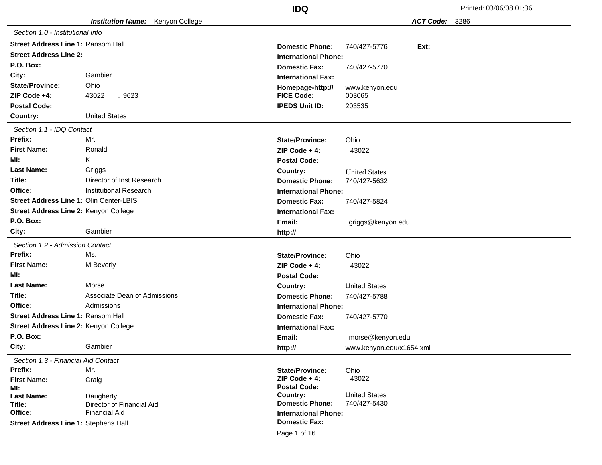|                                           |                                         | <b>IDQ</b>                      |                          | Printed: 03/06/08 01:36 |
|-------------------------------------------|-----------------------------------------|---------------------------------|--------------------------|-------------------------|
|                                           | <b>Institution Name:</b> Kenyon College |                                 | <b>ACT Code:</b>         | 3286                    |
| Section 1.0 - Institutional Info          |                                         |                                 |                          |                         |
| <b>Street Address Line 1: Ransom Hall</b> |                                         | <b>Domestic Phone:</b>          | Ext:<br>740/427-5776     |                         |
| <b>Street Address Line 2:</b>             |                                         | <b>International Phone:</b>     |                          |                         |
| P.O. Box:                                 |                                         | <b>Domestic Fax:</b>            | 740/427-5770             |                         |
| City:                                     | Gambier                                 | <b>International Fax:</b>       |                          |                         |
| <b>State/Province:</b>                    | Ohio                                    | Homepage-http://                | www.kenyon.edu           |                         |
| ZIP Code +4:                              | 43022<br>$-9623$                        | <b>FICE Code:</b>               | 003065                   |                         |
| <b>Postal Code:</b>                       |                                         | <b>IPEDS Unit ID:</b>           | 203535                   |                         |
| Country:                                  | <b>United States</b>                    |                                 |                          |                         |
| Section 1.1 - IDQ Contact                 |                                         |                                 |                          |                         |
| Prefix:                                   | Mr.                                     | <b>State/Province:</b>          | Ohio                     |                         |
| <b>First Name:</b>                        | Ronald                                  | ZIP Code $+4$ :                 | 43022                    |                         |
| MI:                                       | Κ                                       | <b>Postal Code:</b>             |                          |                         |
| <b>Last Name:</b>                         | Griggs                                  | Country:                        | <b>United States</b>     |                         |
| Title:                                    | Director of Inst Research               | <b>Domestic Phone:</b>          | 740/427-5632             |                         |
| Office:                                   | <b>Institutional Research</b>           | <b>International Phone:</b>     |                          |                         |
| Street Address Line 1: Olin Center-LBIS   |                                         | <b>Domestic Fax:</b>            | 740/427-5824             |                         |
| Street Address Line 2: Kenyon College     |                                         | <b>International Fax:</b>       |                          |                         |
| P.O. Box:                                 |                                         | Email:                          | griggs@kenyon.edu        |                         |
| City:                                     | Gambier                                 | http://                         |                          |                         |
| Section 1.2 - Admission Contact           |                                         |                                 |                          |                         |
| Prefix:                                   | Ms.                                     | <b>State/Province:</b>          | Ohio                     |                         |
| <b>First Name:</b>                        | M Beverly                               | ZIP Code $+4$ :                 | 43022                    |                         |
| MI:                                       |                                         | <b>Postal Code:</b>             |                          |                         |
| <b>Last Name:</b>                         | Morse                                   | Country:                        | <b>United States</b>     |                         |
| Title:                                    | Associate Dean of Admissions            | <b>Domestic Phone:</b>          | 740/427-5788             |                         |
| Office:                                   | Admissions                              | <b>International Phone:</b>     |                          |                         |
| Street Address Line 1: Ransom Hall        |                                         | <b>Domestic Fax:</b>            | 740/427-5770             |                         |
| Street Address Line 2: Kenyon College     |                                         | <b>International Fax:</b>       |                          |                         |
| P.O. Box:                                 |                                         | Email:                          | morse@kenyon.edu         |                         |
| City:                                     | Gambier                                 | http://                         | www.kenyon.edu/x1654.xml |                         |
| Section 1.3 - Financial Aid Contact       |                                         |                                 |                          |                         |
| Prefix:                                   | Mr.                                     | <b>State/Province:</b>          | Ohio                     |                         |
| <b>First Name:</b>                        | Craig                                   | $ZIP Code + 4:$                 | 43022                    |                         |
| MI:<br><b>Last Name:</b>                  | Daugherty                               | <b>Postal Code:</b><br>Country: | <b>United States</b>     |                         |
| Title:                                    | Director of Financial Aid               | <b>Domestic Phone:</b>          | 740/427-5430             |                         |
| Office:                                   | <b>Financial Aid</b>                    | <b>International Phone:</b>     |                          |                         |
| Street Address Line 1: Stephens Hall      |                                         | <b>Domestic Fax:</b>            |                          |                         |
|                                           |                                         | Page 1 of 16                    |                          |                         |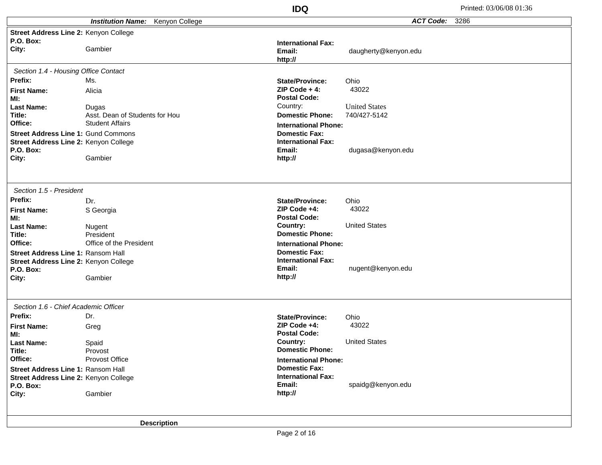|                                                    |                                            | <b>IDQ</b>                             | Printed: 03/06/08 01:36  |
|----------------------------------------------------|--------------------------------------------|----------------------------------------|--------------------------|
|                                                    | <b>Institution Name:</b><br>Kenyon College |                                        | <b>ACT Code:</b><br>3286 |
| Street Address Line 2: Kenyon College<br>P.O. Box: |                                            | <b>International Fax:</b>              |                          |
| City:                                              | Gambier                                    | Email:<br>http://                      | daugherty@kenyon.edu     |
| Section 1.4 - Housing Office Contact               |                                            |                                        |                          |
| Prefix:                                            | Ms.                                        | <b>State/Province:</b>                 | Ohio                     |
| <b>First Name:</b>                                 | Alicia                                     | $ZIP Code + 4:$                        | 43022                    |
| MI:<br><b>Last Name:</b>                           |                                            | <b>Postal Code:</b><br>Country:        | <b>United States</b>     |
| Title:                                             | Dugas<br>Asst. Dean of Students for Hou    | <b>Domestic Phone:</b>                 | 740/427-5142             |
| Office:                                            | <b>Student Affairs</b>                     | <b>International Phone:</b>            |                          |
| Street Address Line 1: Gund Commons                |                                            | <b>Domestic Fax:</b>                   |                          |
| Street Address Line 2: Kenyon College              |                                            | <b>International Fax:</b>              |                          |
| P.O. Box:                                          |                                            | Email:                                 | dugasa@kenyon.edu        |
| City:                                              | Gambier                                    | http://                                |                          |
| Section 1.5 - President                            |                                            |                                        |                          |
| Prefix:                                            | Dr.                                        | <b>State/Province:</b>                 | Ohio                     |
| <b>First Name:</b>                                 | S Georgia                                  | $ZIP Code +4$ :<br><b>Postal Code:</b> | 43022                    |
| MI:<br><b>Last Name:</b>                           | Nugent                                     | Country:                               | <b>United States</b>     |
| Title:                                             | President                                  | <b>Domestic Phone:</b>                 |                          |
| Office:                                            | Office of the President                    | <b>International Phone:</b>            |                          |
| <b>Street Address Line 1: Ransom Hall</b>          |                                            | <b>Domestic Fax:</b>                   |                          |
| Street Address Line 2: Kenyon College              |                                            | <b>International Fax:</b>              |                          |
| P.O. Box:<br>City:                                 | Gambier                                    | Email:<br>http://                      | nugent@kenyon.edu        |
|                                                    |                                            |                                        |                          |
| Section 1.6 - Chief Academic Officer               |                                            |                                        |                          |
| Prefix:                                            | Dr.                                        | <b>State/Province:</b>                 | Ohio                     |
| <b>First Name:</b>                                 | Greg                                       | ZIP Code +4:<br><b>Postal Code:</b>    | 43022                    |
| MI:<br><b>Last Name:</b>                           | Spaid                                      | Country:                               | <b>United States</b>     |
| Title:                                             | Provost                                    | <b>Domestic Phone:</b>                 |                          |
| Office:                                            | Provost Office                             | <b>International Phone:</b>            |                          |
| Street Address Line 1: Ransom Hall                 |                                            | <b>Domestic Fax:</b>                   |                          |
| Street Address Line 2: Kenyon College              |                                            | <b>International Fax:</b><br>Email:    |                          |
| P.O. Box:<br>City:                                 | Gambier                                    | http://                                | spaidg@kenyon.edu        |
|                                                    |                                            |                                        |                          |
|                                                    | <b>Description</b>                         |                                        |                          |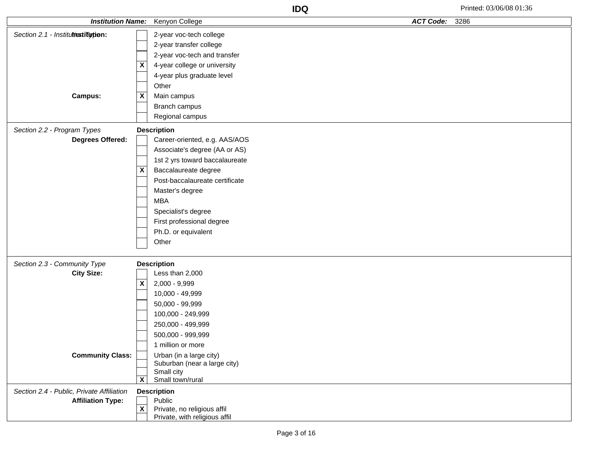| <b>Institution Name:</b>                        |                           | Kenyon College                                      | <b>ACT Code:</b> | 3286 |
|-------------------------------------------------|---------------------------|-----------------------------------------------------|------------------|------|
| Section 2.1 - Institutionstitution:             |                           | 2-year voc-tech college                             |                  |      |
|                                                 |                           | 2-year transfer college                             |                  |      |
|                                                 |                           | 2-year voc-tech and transfer                        |                  |      |
|                                                 | X                         | 4-year college or university                        |                  |      |
|                                                 |                           | 4-year plus graduate level                          |                  |      |
|                                                 |                           | Other                                               |                  |      |
| <b>Campus:</b>                                  | $\pmb{\mathsf{X}}$        | Main campus                                         |                  |      |
|                                                 |                           | Branch campus                                       |                  |      |
|                                                 |                           | Regional campus                                     |                  |      |
|                                                 |                           |                                                     |                  |      |
| Section 2.2 - Program Types<br>Degrees Offered: |                           | <b>Description</b><br>Career-oriented, e.g. AAS/AOS |                  |      |
|                                                 |                           | Associate's degree (AA or AS)                       |                  |      |
|                                                 |                           | 1st 2 yrs toward baccalaureate                      |                  |      |
|                                                 | X                         | Baccalaureate degree                                |                  |      |
|                                                 |                           | Post-baccalaureate certificate                      |                  |      |
|                                                 |                           | Master's degree                                     |                  |      |
|                                                 |                           | <b>MBA</b>                                          |                  |      |
|                                                 |                           | Specialist's degree                                 |                  |      |
|                                                 |                           | First professional degree                           |                  |      |
|                                                 |                           | Ph.D. or equivalent                                 |                  |      |
|                                                 |                           | Other                                               |                  |      |
|                                                 |                           |                                                     |                  |      |
| Section 2.3 - Community Type                    |                           | <b>Description</b>                                  |                  |      |
| <b>City Size:</b>                               |                           | Less than 2,000                                     |                  |      |
|                                                 | $\overline{\mathbf{X}}$   | 2,000 - 9,999                                       |                  |      |
|                                                 |                           | 10,000 - 49,999                                     |                  |      |
|                                                 |                           | 50,000 - 99,999                                     |                  |      |
|                                                 |                           | 100,000 - 249,999                                   |                  |      |
|                                                 |                           | 250,000 - 499,999                                   |                  |      |
|                                                 |                           | 500,000 - 999,999                                   |                  |      |
|                                                 |                           | 1 million or more                                   |                  |      |
| <b>Community Class:</b>                         |                           | Urban (in a large city)                             |                  |      |
|                                                 |                           | Suburban (near a large city)                        |                  |      |
|                                                 | $\boldsymbol{\mathsf{X}}$ | Small city<br>Small town/rural                      |                  |      |
| Section 2.4 - Public, Private Affiliation       |                           | <b>Description</b>                                  |                  |      |
| <b>Affiliation Type:</b>                        |                           | Public                                              |                  |      |
|                                                 | $\overline{\mathbf{x}}$   | Private, no religious affil                         |                  |      |
|                                                 |                           | Private, with religious affil                       |                  |      |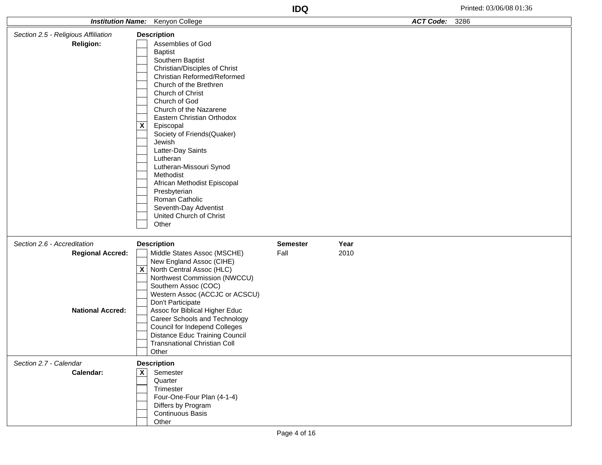|                                                    | <b>Institution Name:</b> Kenyon College                                                                                                                                                                                                                                                                                                                                                                                                                                                                                                 |                 |      | <b>ACT Code:</b> | 3286 |
|----------------------------------------------------|-----------------------------------------------------------------------------------------------------------------------------------------------------------------------------------------------------------------------------------------------------------------------------------------------------------------------------------------------------------------------------------------------------------------------------------------------------------------------------------------------------------------------------------------|-----------------|------|------------------|------|
| Section 2.5 - Religious Affiliation                | <b>Description</b>                                                                                                                                                                                                                                                                                                                                                                                                                                                                                                                      |                 |      |                  |      |
| <b>Religion:</b>                                   | Assemblies of God<br><b>Baptist</b><br>Southern Baptist<br>Christian/Disciples of Christ<br>Christian Reformed/Reformed<br>Church of the Brethren<br>Church of Christ<br>Church of God<br>Church of the Nazarene<br>Eastern Christian Orthodox<br>$\boldsymbol{\mathsf{X}}$<br>Episcopal<br>Society of Friends(Quaker)<br>Jewish<br>Latter-Day Saints<br>Lutheran<br>Lutheran-Missouri Synod<br>Methodist<br>African Methodist Episcopal<br>Presbyterian<br>Roman Catholic<br>Seventh-Day Adventist<br>United Church of Christ<br>Other |                 |      |                  |      |
| Section 2.6 - Accreditation                        | <b>Description</b>                                                                                                                                                                                                                                                                                                                                                                                                                                                                                                                      | <b>Semester</b> | Year |                  |      |
| <b>Regional Accred:</b><br><b>National Accred:</b> | Middle States Assoc (MSCHE)<br>New England Assoc (CIHE)<br>North Central Assoc (HLC)<br>$\mathsf{x}$<br>Northwest Commission (NWCCU)<br>Southern Assoc (COC)<br>Western Assoc (ACCJC or ACSCU)<br>Don't Participate<br>Assoc for Biblical Higher Educ<br>Career Schools and Technology<br><b>Council for Independ Colleges</b><br>Distance Educ Training Council<br><b>Transnational Christian Coll</b><br>Other                                                                                                                        | Fall            | 2010 |                  |      |
| Section 2.7 - Calendar                             | <b>Description</b>                                                                                                                                                                                                                                                                                                                                                                                                                                                                                                                      |                 |      |                  |      |
| Calendar:                                          | $\overline{\mathbf{X}}$<br>Semester<br>Quarter<br>Trimester<br>Four-One-Four Plan (4-1-4)<br>Differs by Program<br>Continuous Basis<br>Other                                                                                                                                                                                                                                                                                                                                                                                            |                 |      |                  |      |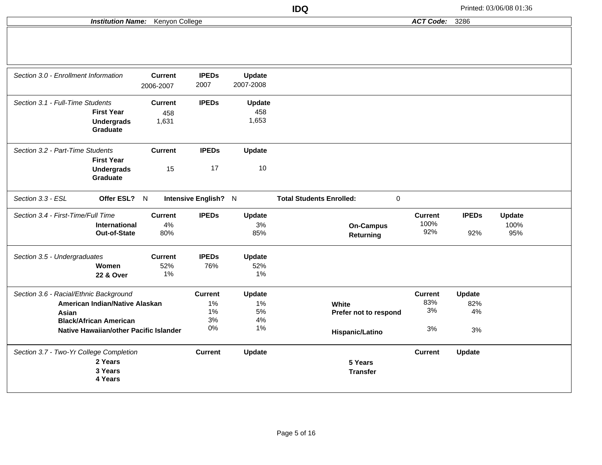**ACT Code:** 3286

## **Institution Name:** Kenyon College

| Section 3.0 - Enrollment Information               | <b>Current</b> | <b>IPEDs</b>         | Update        |                                              |                |              |               |  |
|----------------------------------------------------|----------------|----------------------|---------------|----------------------------------------------|----------------|--------------|---------------|--|
|                                                    | 2006-2007      | 2007                 | 2007-2008     |                                              |                |              |               |  |
| Section 3.1 - Full-Time Students                   | <b>Current</b> | <b>IPEDs</b>         | Update        |                                              |                |              |               |  |
| <b>First Year</b>                                  | 458            |                      | 458           |                                              |                |              |               |  |
| <b>Undergrads</b><br><b>Graduate</b>               | 1,631          |                      | 1,653         |                                              |                |              |               |  |
| Section 3.2 - Part-Time Students                   | <b>Current</b> | <b>IPEDs</b>         | <b>Update</b> |                                              |                |              |               |  |
| <b>First Year</b><br><b>Undergrads</b><br>Graduate | 15             | 17                   | 10            |                                              |                |              |               |  |
|                                                    |                |                      |               |                                              |                |              |               |  |
| Section 3.3 - ESL<br>Offer ESL?                    | N              | Intensive English? N |               | $\pmb{0}$<br><b>Total Students Enrolled:</b> |                |              |               |  |
| Section 3.4 - First-Time/Full Time                 | <b>Current</b> | <b>IPEDs</b>         | <b>Update</b> |                                              | <b>Current</b> | <b>IPEDs</b> | <b>Update</b> |  |
| International                                      | 4%             |                      | 3%            | <b>On-Campus</b>                             | 100%           |              | 100%          |  |
| Out-of-State                                       | 80%            |                      | 85%           | Returning                                    | 92%            | 92%          | 95%           |  |
| Section 3.5 - Undergraduates                       | <b>Current</b> | <b>IPEDs</b>         | <b>Update</b> |                                              |                |              |               |  |
| Women                                              | 52%            | 76%                  | 52%           |                                              |                |              |               |  |
| <b>22 &amp; Over</b>                               | 1%             |                      | 1%            |                                              |                |              |               |  |
| Section 3.6 - Racial/Ethnic Background             |                | <b>Current</b>       | Update        |                                              | <b>Current</b> | Update       |               |  |
| American Indian/Native Alaskan                     |                | 1%                   | 1%            | White                                        | 83%            | 82%          |               |  |
| Asian                                              |                | 1%                   | 5%            | Prefer not to respond                        | 3%             | 4%           |               |  |
| <b>Black/African American</b>                      |                | 3%                   | 4%            |                                              |                |              |               |  |
| Native Hawaiian/other Pacific Islander             |                | 0%                   | 1%            | Hispanic/Latino                              | 3%             | 3%           |               |  |
| Section 3.7 - Two-Yr College Completion            |                | <b>Current</b>       | Update        |                                              | <b>Current</b> | Update       |               |  |
| 2 Years                                            |                |                      |               | 5 Years                                      |                |              |               |  |
| 3 Years                                            |                |                      |               | <b>Transfer</b>                              |                |              |               |  |
| 4 Years                                            |                |                      |               |                                              |                |              |               |  |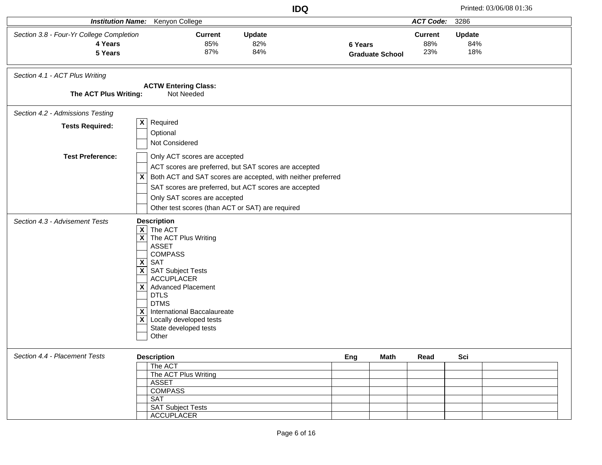|                                                                |                                                                                                                                                                                                                                                                                                                                                                        | <b>IDQ</b>                                                                                                                                                                     |                                   |                              |                             | Printed: 03/06/08 01:36 |
|----------------------------------------------------------------|------------------------------------------------------------------------------------------------------------------------------------------------------------------------------------------------------------------------------------------------------------------------------------------------------------------------------------------------------------------------|--------------------------------------------------------------------------------------------------------------------------------------------------------------------------------|-----------------------------------|------------------------------|-----------------------------|-------------------------|
| <b>Institution Name:</b>                                       | Kenyon College                                                                                                                                                                                                                                                                                                                                                         |                                                                                                                                                                                |                                   | <b>ACT Code:</b>             | 3286                        |                         |
| Section 3.8 - Four-Yr College Completion<br>4 Years<br>5 Years | <b>Current</b><br>85%<br>87%                                                                                                                                                                                                                                                                                                                                           | Update<br>82%<br>84%                                                                                                                                                           | 6 Years<br><b>Graduate School</b> | <b>Current</b><br>88%<br>23% | <b>Update</b><br>84%<br>18% |                         |
| Section 4.1 - ACT Plus Writing<br>The ACT Plus Writing:        | <b>ACTW Entering Class:</b><br>Not Needed                                                                                                                                                                                                                                                                                                                              |                                                                                                                                                                                |                                   |                              |                             |                         |
| Section 4.2 - Admissions Testing                               |                                                                                                                                                                                                                                                                                                                                                                        |                                                                                                                                                                                |                                   |                              |                             |                         |
| <b>Tests Required:</b>                                         | Required<br>$\mathsf{x}$<br>Optional<br>Not Considered                                                                                                                                                                                                                                                                                                                 |                                                                                                                                                                                |                                   |                              |                             |                         |
| <b>Test Preference:</b>                                        | Only ACT scores are accepted<br>$\mathsf{x}$<br>Only SAT scores are accepted<br>Other test scores (than ACT or SAT) are required                                                                                                                                                                                                                                       | ACT scores are preferred, but SAT scores are accepted<br>Both ACT and SAT scores are accepted, with neither preferred<br>SAT scores are preferred, but ACT scores are accepted |                                   |                              |                             |                         |
| Section 4.3 - Advisement Tests                                 | <b>Description</b><br>$\overline{\mathsf{X}}$ The ACT<br>$\overline{X}$ The ACT Plus Writing<br><b>ASSET</b><br><b>COMPASS</b><br>$X$ SAT<br>$X$ SAT Subject Tests<br><b>ACCUPLACER</b><br>X Advanced Placement<br><b>DTLS</b><br><b>DTMS</b><br>International Baccalaureate<br>$\mathsf{x}$<br>$\mathsf{X}$ Locally developed tests<br>State developed tests<br>Other |                                                                                                                                                                                |                                   |                              |                             |                         |
| Section 4.4 - Placement Tests                                  | <b>Description</b><br>The ACT<br>The ACT Plus Writing<br><b>ASSET</b><br><b>COMPASS</b><br><b>SAT</b><br><b>SAT Subject Tests</b><br><b>ACCUPLACER</b>                                                                                                                                                                                                                 |                                                                                                                                                                                | Eng<br>Math                       | Read                         | Sci                         |                         |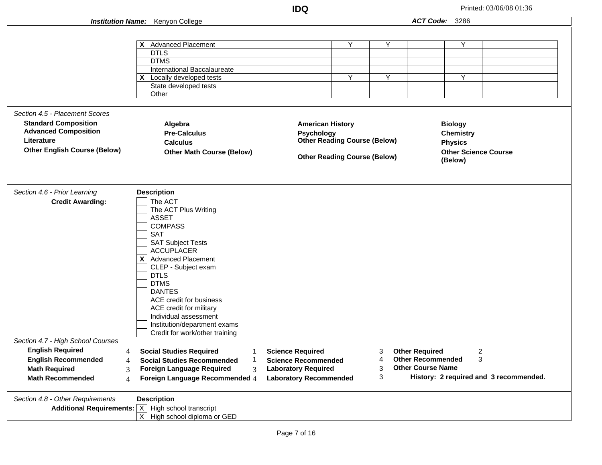|                                     |                                                                       | <b>IDQ</b>                          |   |   |                          |                             | Printed: 03/06/08 01:36                |
|-------------------------------------|-----------------------------------------------------------------------|-------------------------------------|---|---|--------------------------|-----------------------------|----------------------------------------|
|                                     | <b>Institution Name:</b> Kenyon College                               |                                     |   |   | ACT Code: 3286           |                             |                                        |
|                                     |                                                                       |                                     |   |   |                          |                             |                                        |
|                                     |                                                                       |                                     |   |   |                          |                             |                                        |
|                                     | $\mathsf{X}$ Advanced Placement<br><b>DTLS</b>                        |                                     | Y | Y |                          | Y                           |                                        |
|                                     | <b>DTMS</b>                                                           |                                     |   |   |                          |                             |                                        |
|                                     | International Baccalaureate                                           |                                     |   |   |                          |                             |                                        |
|                                     | $\mathsf{X}$ Locally developed tests                                  |                                     | Υ | Υ |                          | Y                           |                                        |
|                                     | State developed tests                                                 |                                     |   |   |                          |                             |                                        |
|                                     | Other                                                                 |                                     |   |   |                          |                             |                                        |
|                                     |                                                                       |                                     |   |   |                          |                             |                                        |
| Section 4.5 - Placement Scores      |                                                                       |                                     |   |   |                          |                             |                                        |
| <b>Standard Composition</b>         | Algebra                                                               | <b>American History</b>             |   |   |                          | <b>Biology</b>              |                                        |
| <b>Advanced Composition</b>         | <b>Pre-Calculus</b>                                                   | <b>Psychology</b>                   |   |   |                          | <b>Chemistry</b>            |                                        |
| Literature                          | <b>Calculus</b>                                                       | <b>Other Reading Course (Below)</b> |   |   |                          | <b>Physics</b>              |                                        |
| <b>Other English Course (Below)</b> | <b>Other Math Course (Below)</b>                                      |                                     |   |   |                          | <b>Other Science Course</b> |                                        |
|                                     |                                                                       | <b>Other Reading Course (Below)</b> |   |   |                          | (Below)                     |                                        |
|                                     |                                                                       |                                     |   |   |                          |                             |                                        |
|                                     |                                                                       |                                     |   |   |                          |                             |                                        |
|                                     |                                                                       |                                     |   |   |                          |                             |                                        |
| Section 4.6 - Prior Learning        | <b>Description</b>                                                    |                                     |   |   |                          |                             |                                        |
| <b>Credit Awarding:</b>             | The ACT                                                               |                                     |   |   |                          |                             |                                        |
|                                     | The ACT Plus Writing<br><b>ASSET</b>                                  |                                     |   |   |                          |                             |                                        |
|                                     | <b>COMPASS</b>                                                        |                                     |   |   |                          |                             |                                        |
|                                     | <b>SAT</b>                                                            |                                     |   |   |                          |                             |                                        |
|                                     | <b>SAT Subject Tests</b>                                              |                                     |   |   |                          |                             |                                        |
|                                     | <b>ACCUPLACER</b>                                                     |                                     |   |   |                          |                             |                                        |
|                                     | $X$ Advanced Placement                                                |                                     |   |   |                          |                             |                                        |
|                                     | CLEP - Subject exam                                                   |                                     |   |   |                          |                             |                                        |
|                                     | <b>DTLS</b>                                                           |                                     |   |   |                          |                             |                                        |
|                                     | <b>DTMS</b>                                                           |                                     |   |   |                          |                             |                                        |
|                                     | <b>DANTES</b>                                                         |                                     |   |   |                          |                             |                                        |
|                                     | ACE credit for business                                               |                                     |   |   |                          |                             |                                        |
|                                     | ACE credit for military                                               |                                     |   |   |                          |                             |                                        |
|                                     | Individual assessment                                                 |                                     |   |   |                          |                             |                                        |
|                                     | Institution/department exams                                          |                                     |   |   |                          |                             |                                        |
| Section 4.7 - High School Courses   | Credit for work/other training                                        |                                     |   |   |                          |                             |                                        |
| <b>English Required</b><br>4        | <b>Social Studies Required</b>                                        | <b>Science Required</b>             |   | 3 | <b>Other Required</b>    |                             | 2                                      |
| <b>English Recommended</b><br>4     | <b>Social Studies Recommended</b>                                     | <b>Science Recommended</b>          |   | 4 | <b>Other Recommended</b> |                             | 3                                      |
| <b>Math Required</b><br>3           | <b>Foreign Language Required</b><br>3                                 | <b>Laboratory Required</b>          |   | 3 | <b>Other Course Name</b> |                             |                                        |
| <b>Math Recommended</b>             | Foreign Language Recommended 4                                        |                                     |   | 3 |                          |                             | History: 2 required and 3 recommended. |
| 4                                   |                                                                       | <b>Laboratory Recommended</b>       |   |   |                          |                             |                                        |
| Section 4.8 - Other Requirements    | <b>Description</b>                                                    |                                     |   |   |                          |                             |                                        |
|                                     | <b>Additional Requirements:</b> $\overline{X}$ High school transcript |                                     |   |   |                          |                             |                                        |
|                                     | $\overline{X}$ High school diploma or GED                             |                                     |   |   |                          |                             |                                        |
|                                     |                                                                       |                                     |   |   |                          |                             |                                        |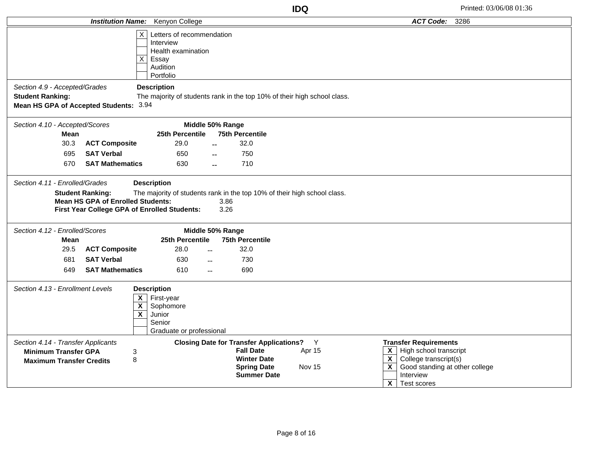|                                                                |                                                                                                                                                                                                         | <b>Institution Name:</b> Kenyon College                                                                                       |                                                                                    |                         | <b>ACT Code:</b><br>3286                                                                                                                         |  |  |
|----------------------------------------------------------------|---------------------------------------------------------------------------------------------------------------------------------------------------------------------------------------------------------|-------------------------------------------------------------------------------------------------------------------------------|------------------------------------------------------------------------------------|-------------------------|--------------------------------------------------------------------------------------------------------------------------------------------------|--|--|
|                                                                |                                                                                                                                                                                                         | Letters of recommendation<br>$\times$<br>Interview<br>Health examination<br>$\vert x \vert$<br>Essay<br>Audition<br>Portfolio |                                                                                    |                         |                                                                                                                                                  |  |  |
| Section 4.9 - Accepted/Grades                                  |                                                                                                                                                                                                         | <b>Description</b>                                                                                                            |                                                                                    |                         |                                                                                                                                                  |  |  |
| <b>Student Ranking:</b>                                        |                                                                                                                                                                                                         |                                                                                                                               | The majority of students rank in the top 10% of their high school class.           |                         |                                                                                                                                                  |  |  |
| Mean HS GPA of Accepted Students: 3.94                         |                                                                                                                                                                                                         |                                                                                                                               |                                                                                    |                         |                                                                                                                                                  |  |  |
| Section 4.10 - Accepted/Scores                                 |                                                                                                                                                                                                         |                                                                                                                               | Middle 50% Range                                                                   |                         |                                                                                                                                                  |  |  |
| Mean                                                           |                                                                                                                                                                                                         | 25th Percentile                                                                                                               | <b>75th Percentile</b>                                                             |                         |                                                                                                                                                  |  |  |
| 30.3                                                           | <b>ACT Composite</b>                                                                                                                                                                                    | 29.0                                                                                                                          | 32.0                                                                               |                         |                                                                                                                                                  |  |  |
| 695                                                            | <b>SAT Verbal</b>                                                                                                                                                                                       | 650                                                                                                                           | 750                                                                                |                         |                                                                                                                                                  |  |  |
| 670                                                            | <b>SAT Mathematics</b>                                                                                                                                                                                  | 630                                                                                                                           | 710                                                                                |                         |                                                                                                                                                  |  |  |
| Section 4.12 - Enrolled/Scores<br>Mean                         |                                                                                                                                                                                                         | 25th Percentile                                                                                                               | Middle 50% Range<br><b>75th Percentile</b>                                         |                         |                                                                                                                                                  |  |  |
| 29.5                                                           | <b>ACT Composite</b>                                                                                                                                                                                    | 28.0                                                                                                                          | 32.0<br>$\mathbb{L}^{\mathbb{L}}$                                                  |                         |                                                                                                                                                  |  |  |
| 681                                                            | <b>SAT Verbal</b>                                                                                                                                                                                       | 630                                                                                                                           | 730<br>$\sim$                                                                      |                         |                                                                                                                                                  |  |  |
| 649                                                            | <b>SAT Mathematics</b>                                                                                                                                                                                  | 610                                                                                                                           | 690<br>$\sim$                                                                      |                         |                                                                                                                                                  |  |  |
|                                                                | Section 4.13 - Enrollment Levels<br><b>Description</b><br>First-year<br>$\mathsf{x}$<br>$\overline{\mathbf{x}}$<br>Sophomore<br>$\overline{\mathbf{x}}$<br>Junior<br>Senior<br>Graduate or professional |                                                                                                                               |                                                                                    |                         |                                                                                                                                                  |  |  |
| Section 4.14 - Transfer Applicants                             |                                                                                                                                                                                                         |                                                                                                                               | <b>Closing Date for Transfer Applications?</b> Y                                   |                         | <b>Transfer Requirements</b>                                                                                                                     |  |  |
| <b>Minimum Transfer GPA</b><br><b>Maximum Transfer Credits</b> |                                                                                                                                                                                                         | 3<br>8                                                                                                                        | <b>Fall Date</b><br><b>Winter Date</b><br><b>Spring Date</b><br><b>Summer Date</b> | Apr 15<br><b>Nov 15</b> | High school transcript<br>X<br>College transcript(s)<br>$\boldsymbol{\mathsf{X}}$<br>$\mathbf{x}$<br>Good standing at other college<br>Interview |  |  |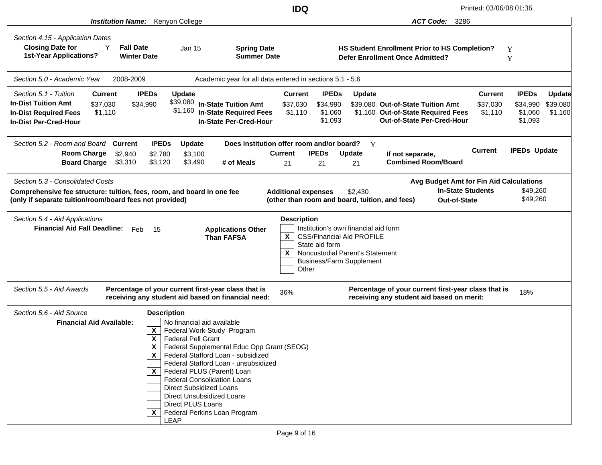|                                                                                                                                                                       |                                                                                                                                                                                                                                                                                                                                                                                 | <b>IDQ</b>                                                                                                                        |                                                                                                                                                                  | Printed: 03/06/08 01:36                                                                                                                               |                                                                                        |
|-----------------------------------------------------------------------------------------------------------------------------------------------------------------------|---------------------------------------------------------------------------------------------------------------------------------------------------------------------------------------------------------------------------------------------------------------------------------------------------------------------------------------------------------------------------------|-----------------------------------------------------------------------------------------------------------------------------------|------------------------------------------------------------------------------------------------------------------------------------------------------------------|-------------------------------------------------------------------------------------------------------------------------------------------------------|----------------------------------------------------------------------------------------|
| <b>Institution Name:</b>                                                                                                                                              | Kenyon College                                                                                                                                                                                                                                                                                                                                                                  |                                                                                                                                   |                                                                                                                                                                  | <b>ACT Code:</b><br>3286                                                                                                                              |                                                                                        |
| Section 4.15 - Application Dates<br><b>Closing Date for</b><br>Y<br><b>1st-Year Applications?</b>                                                                     | <b>Fall Date</b><br><b>Jan 15</b><br><b>Winter Date</b>                                                                                                                                                                                                                                                                                                                         | <b>Spring Date</b><br><b>Summer Date</b>                                                                                          |                                                                                                                                                                  | HS Student Enrollment Prior to HS Completion?<br><b>Defer Enrollment Once Admitted?</b>                                                               | Y<br>Y                                                                                 |
| Section 5.0 - Academic Year<br>2008-2009                                                                                                                              |                                                                                                                                                                                                                                                                                                                                                                                 | Academic year for all data entered in sections 5.1 - 5.6                                                                          |                                                                                                                                                                  |                                                                                                                                                       |                                                                                        |
| Section 5.1 - Tuition<br>Current<br><b>In-Dist Tuition Amt</b><br>\$37,030<br>\$1,110<br><b>In-Dist Required Fees</b><br><b>In-Dist Per-Cred-Hour</b>                 | <b>IPEDs</b><br><b>Update</b><br>\$34,990<br>\$1,160                                                                                                                                                                                                                                                                                                                            | <b>Current</b><br>\$39,080 In-State Tuition Amt<br>\$37,030<br><b>In-State Required Fees</b><br>\$1,110<br>In-State Per-Cred-Hour | <b>IPEDs</b><br><b>Update</b><br>\$34,990<br>\$1,060<br>\$1,093                                                                                                  | <b>Current</b><br>\$39,080 Out-of-State Tuition Amt<br>\$37,030<br>\$1,160 Out-of-State Required Fees<br>\$1,110<br><b>Out-of-State Per-Cred-Hour</b> | <b>IPEDs</b><br><b>Update</b><br>\$34,990<br>\$39,080<br>\$1,060<br>\$1,160<br>\$1,093 |
| Section 5.2 - Room and Board Current<br><b>Room Charge</b><br>\$2,940<br><b>Board Charge</b><br>\$3,310                                                               | <b>IPEDs</b><br>Update<br>\$2,780<br>\$3,100<br>\$3,120<br>\$3,490                                                                                                                                                                                                                                                                                                              | Does institution offer room and/or board?<br><b>Current</b><br># of Meals<br>21                                                   | $\mathbf{Y}$<br><b>IPEDs</b><br><b>Update</b><br>21<br>21                                                                                                        | <b>Current</b><br>If not separate,<br><b>Combined Room/Board</b>                                                                                      | <b>IPEDs Update</b>                                                                    |
| Section 5.3 - Consolidated Costs<br>Comprehensive fee structure: tuition, fees, room, and board in one fee<br>(only if separate tuition/room/board fees not provided) |                                                                                                                                                                                                                                                                                                                                                                                 | <b>Additional expenses</b>                                                                                                        | \$2,430<br>(other than room and board, tuition, and fees)                                                                                                        | Avg Budget Amt for Fin Aid Calculations<br><b>In-State Students</b><br><b>Out-of-State</b>                                                            | \$49,260<br>\$49,260                                                                   |
| Section 5.4 - Aid Applications<br><b>Financial Aid Fall Deadline:</b>                                                                                                 | Feb<br>15                                                                                                                                                                                                                                                                                                                                                                       | <b>Description</b><br><b>Applications Other</b><br>$\mathsf{x}$<br><b>Than FAFSA</b><br>$\mathsf{x}$<br>Other                     | Institution's own financial aid form<br><b>CSS/Financial Aid PROFILE</b><br>State aid form<br>Noncustodial Parent's Statement<br><b>Business/Farm Supplement</b> |                                                                                                                                                       |                                                                                        |
| Section 5.5 - Aid Awards                                                                                                                                              | Percentage of your current first-year class that is<br>receiving any student aid based on financial need:                                                                                                                                                                                                                                                                       | 36%                                                                                                                               |                                                                                                                                                                  | Percentage of your current first-year class that is<br>receiving any student aid based on merit:                                                      | 18%                                                                                    |
| Section 5.6 - Aid Source<br><b>Financial Aid Available:</b>                                                                                                           | <b>Description</b><br>No financial aid available<br>$\boldsymbol{\mathsf{x}}$<br>Federal Work-Study Program<br>X<br><b>Federal Pell Grant</b><br>X.<br>$\mathsf{x}$<br>$X$   Federal PLUS (Parent) Loan<br><b>Federal Consolidation Loans</b><br><b>Direct Subsidized Loans</b><br>Direct Unsubsidized Loans<br>Direct PLUS Loans<br>$X$   Federal Perkins Loan Program<br>LEAP | Federal Supplemental Educ Opp Grant (SEOG)<br>Federal Stafford Loan - subsidized<br>Federal Stafford Loan - unsubsidized          |                                                                                                                                                                  |                                                                                                                                                       |                                                                                        |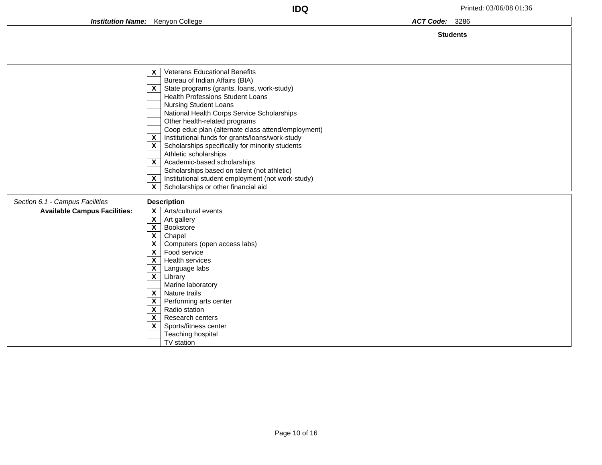|                                                                        | <b>IDQ</b>                                                                                                                                                                                                                                                                                                                                                                                                                                                                                                                                                                                                                                                                                                                                                                              |                | Printed: 03/06/08 01:36 |
|------------------------------------------------------------------------|-----------------------------------------------------------------------------------------------------------------------------------------------------------------------------------------------------------------------------------------------------------------------------------------------------------------------------------------------------------------------------------------------------------------------------------------------------------------------------------------------------------------------------------------------------------------------------------------------------------------------------------------------------------------------------------------------------------------------------------------------------------------------------------------|----------------|-------------------------|
|                                                                        | <b>Institution Name:</b> Kenyon College                                                                                                                                                                                                                                                                                                                                                                                                                                                                                                                                                                                                                                                                                                                                                 | ACT Code: 3286 |                         |
|                                                                        |                                                                                                                                                                                                                                                                                                                                                                                                                                                                                                                                                                                                                                                                                                                                                                                         |                | <b>Students</b>         |
|                                                                        | <b>Veterans Educational Benefits</b><br>$\mathsf{X}$<br>Bureau of Indian Affairs (BIA)<br>$\mathsf{X}$ State programs (grants, loans, work-study)<br><b>Health Professions Student Loans</b><br><b>Nursing Student Loans</b><br>National Health Corps Service Scholarships<br>Other health-related programs<br>Coop educ plan (alternate class attend/employment)<br>Institutional funds for grants/loans/work-study<br>$\boldsymbol{\mathsf{x}}$<br>$\overline{\mathsf{x}}$ Scholarships specifically for minority students<br>Athletic scholarships<br>$\overline{\mathsf{x}}$ Academic-based scholarships<br>Scholarships based on talent (not athletic)<br>Institutional student employment (not work-study)<br>$\mathsf{x}$<br>$\mathbf{x}$<br>Scholarships or other financial aid |                |                         |
| Section 6.1 - Campus Facilities<br><b>Available Campus Facilities:</b> | <b>Description</b><br>$\overline{\mathsf{x}}$ Arts/cultural events<br>$\overline{\mathbf{x}}$<br>Art gallery<br>$\overline{\mathbf{x}}$<br>Bookstore<br>$\overline{\mathbf{X}}$<br>Chapel<br>$\mathsf{x}$<br>Computers (open access labs)<br>$\mathsf{x}$<br>Food service<br>$\boldsymbol{\mathsf{X}}$<br>Health services<br>$\boldsymbol{\mathsf{x}}$<br>Language labs<br>$\mathsf{x}$<br>Library<br>Marine laboratory<br>$\mathsf{x}$<br>Nature trails<br>$\overline{\mathbf{X}}$<br>Performing arts center<br>$\boldsymbol{\mathsf{x}}$<br>Radio station<br>$\boldsymbol{\mathsf{X}}$<br>Research centers<br>Sports/fitness center<br>X<br>Teaching hospital<br>TV station                                                                                                           |                |                         |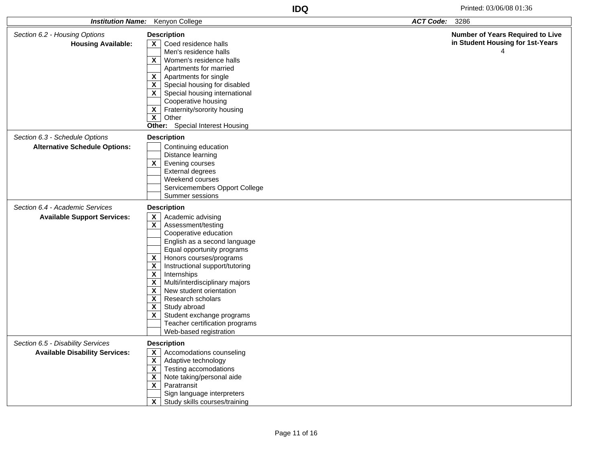|                                       | <b>ACT Code:</b><br><b>Institution Name:</b> Kenyon College<br>3286 |                                         |
|---------------------------------------|---------------------------------------------------------------------|-----------------------------------------|
| Section 6.2 - Housing Options         | <b>Description</b>                                                  | <b>Number of Years Required to Live</b> |
| <b>Housing Available:</b>             | $\mathsf{X}$   Coed residence halls                                 | in Student Housing for 1st-Years        |
|                                       | Men's residence halls                                               |                                         |
|                                       | $\mathsf{x}$<br>Women's residence halls                             |                                         |
|                                       | Apartments for married                                              |                                         |
|                                       | $\mathsf{x}$<br>Apartments for single                               |                                         |
|                                       | $\mathsf{x}$<br>Special housing for disabled                        |                                         |
|                                       | $\mathsf{x}$<br>Special housing international                       |                                         |
|                                       | Cooperative housing                                                 |                                         |
|                                       | Fraternity/sorority housing<br>$\boldsymbol{\mathsf{x}}$            |                                         |
|                                       | $\mathbf{x}$<br>Other                                               |                                         |
|                                       | Other: Special Interest Housing                                     |                                         |
| Section 6.3 - Schedule Options        | <b>Description</b>                                                  |                                         |
| <b>Alternative Schedule Options:</b>  | Continuing education                                                |                                         |
|                                       | Distance learning                                                   |                                         |
|                                       | $\overline{\mathbf{x}}$<br>Evening courses                          |                                         |
|                                       | <b>External degrees</b>                                             |                                         |
|                                       | Weekend courses                                                     |                                         |
|                                       | Servicemembers Opport College                                       |                                         |
|                                       | Summer sessions                                                     |                                         |
| Section 6.4 - Academic Services       | <b>Description</b>                                                  |                                         |
| <b>Available Support Services:</b>    | $\boldsymbol{\mathsf{x}}$<br>Academic advising                      |                                         |
|                                       | $\mathsf{x}$<br>Assessment/testing                                  |                                         |
|                                       | Cooperative education                                               |                                         |
|                                       | English as a second language                                        |                                         |
|                                       | Equal opportunity programs                                          |                                         |
|                                       | $\mathsf{x}$<br>Honors courses/programs                             |                                         |
|                                       | Instructional support/tutoring<br>$\boldsymbol{\mathsf{X}}$         |                                         |
|                                       | $\boldsymbol{\mathsf{X}}$<br>Internships                            |                                         |
|                                       | $\boldsymbol{\mathsf{X}}$<br>Multi/interdisciplinary majors         |                                         |
|                                       | $\mathbf{x}$<br>New student orientation<br>$\overline{\mathbf{x}}$  |                                         |
|                                       | Research scholars<br>$\boldsymbol{\mathsf{X}}$<br>Study abroad      |                                         |
|                                       | X<br>Student exchange programs                                      |                                         |
|                                       | Teacher certification programs                                      |                                         |
|                                       | Web-based registration                                              |                                         |
| Section 6.5 - Disability Services     | <b>Description</b>                                                  |                                         |
| <b>Available Disability Services:</b> | Accomodations counseling<br>$\mathsf{x}$                            |                                         |
|                                       | $\mathbf{x}$<br>Adaptive technology                                 |                                         |
|                                       | $\boldsymbol{\mathsf{X}}$<br>Testing accomodations                  |                                         |
|                                       | $\overline{\mathbf{X}}$<br>Note taking/personal aide                |                                         |
|                                       | $\mathbf{x}$<br>Paratransit                                         |                                         |
|                                       | Sign language interpreters                                          |                                         |
|                                       | $\overline{\mathbf{X}}$<br>Study skills courses/training            |                                         |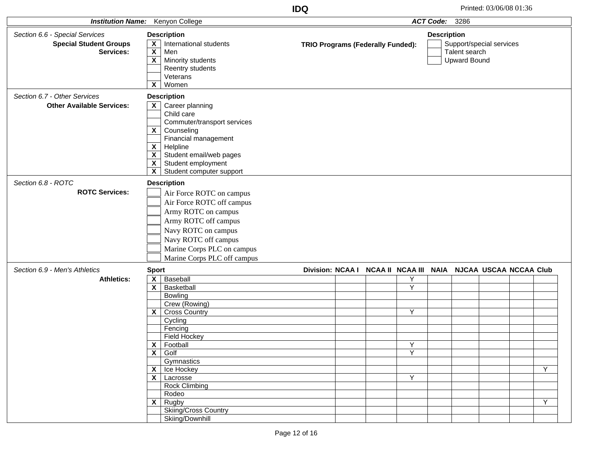| <b>Institution Name:</b>                                                     | Kenyon College                                                                                                                                                                                                                                                                                                                                                                            | <b>ACT Code:</b><br>3286                                                    |                                                                                        |  |  |  |  |
|------------------------------------------------------------------------------|-------------------------------------------------------------------------------------------------------------------------------------------------------------------------------------------------------------------------------------------------------------------------------------------------------------------------------------------------------------------------------------------|-----------------------------------------------------------------------------|----------------------------------------------------------------------------------------|--|--|--|--|
| Section 6.6 - Special Services<br><b>Special Student Groups</b><br>Services: | <b>Description</b><br>X<br>International students<br>$\overline{\mathbf{X}}$<br>Men<br>$\overline{\mathbf{X}}$<br>Minority students<br>Reentry students<br>Veterans                                                                                                                                                                                                                       | TRIO Programs (Federally Funded):                                           | <b>Description</b><br>Support/special services<br>Talent search<br><b>Upward Bound</b> |  |  |  |  |
| Section 6.7 - Other Services<br><b>Other Available Services:</b>             | $\mathbf{x}$<br>Women<br><b>Description</b><br>Career planning<br>$\mathsf{x}$<br>Child care<br>Commuter/transport services<br>$\boldsymbol{\mathsf{X}}$<br>Counseling<br>Financial management<br>$\boldsymbol{\mathsf{X}}$<br>Helpline<br>Student email/web pages<br>$\boldsymbol{X}$<br>$\pmb{\mathsf{X}}$<br>Student employment<br>$\overline{\mathbf{x}}$<br>Student computer support |                                                                             |                                                                                        |  |  |  |  |
| Section 6.8 - ROTC<br><b>ROTC Services:</b>                                  | <b>Description</b><br>Air Force ROTC on campus<br>Air Force ROTC off campus<br>Army ROTC on campus<br>Army ROTC off campus<br>Navy ROTC on campus<br>Navy ROTC off campus<br>Marine Corps PLC on campus<br>Marine Corps PLC off campus                                                                                                                                                    |                                                                             |                                                                                        |  |  |  |  |
| Section 6.9 - Men's Athletics<br><b>Athletics:</b>                           | <b>Sport</b><br>$\boldsymbol{\mathsf{X}}$<br>Baseball<br>X<br>Basketball<br>Bowling<br>Crew (Rowing)<br>$\mathsf{x}$<br>Cross Country<br>Cycling<br>Fencing<br><b>Field Hockey</b><br>X<br>Football<br>$\boldsymbol{X}$<br>Golf<br>Gymnastics<br>Ice Hockey<br>X<br>$X$ Lacrosse<br><b>Rock Climbing</b><br>Rodeo<br>$X \mid$ Rugby<br>Skiing/Cross Country<br>Skiing/Downhill            | <b>Division: NCAA I</b><br>Υ<br>$\overline{\mathsf{Y}}$<br>Y<br>Υ<br>Y<br>Y | NCAA II NCAA III NAIA NJCAA USCAA NCCAA Club<br>Y<br>Y                                 |  |  |  |  |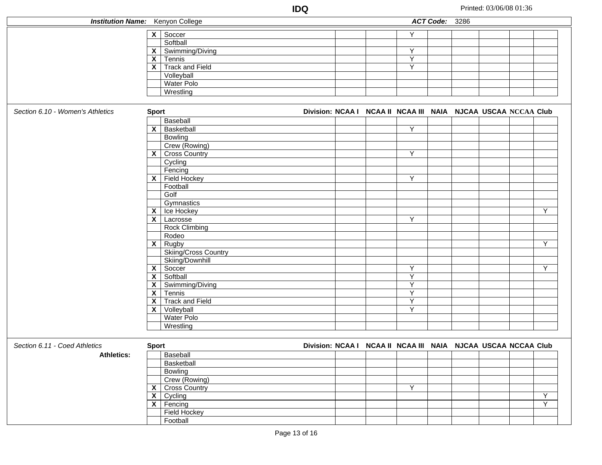| <b>Institution Name:</b> Kenyon College |                           |                                 |  |                                                               | ACT Code: 3286 |  |                |
|-----------------------------------------|---------------------------|---------------------------------|--|---------------------------------------------------------------|----------------|--|----------------|
|                                         | $\overline{\mathsf{x}}$   | Soccer                          |  | Υ                                                             |                |  |                |
|                                         |                           | Softball                        |  |                                                               |                |  |                |
|                                         | $\mathbf{X}$              | Swimming/Diving                 |  | Y                                                             |                |  |                |
|                                         | $\mathsf{x}$              |                                 |  | $\overline{Y}$                                                |                |  |                |
|                                         | $\overline{\mathbf{x}}$   | Tennis                          |  | $\overline{Y}$                                                |                |  |                |
|                                         |                           | <b>Track and Field</b>          |  |                                                               |                |  |                |
|                                         |                           | Volleyball                      |  |                                                               |                |  |                |
|                                         |                           | Water Polo                      |  |                                                               |                |  |                |
|                                         |                           | Wrestling                       |  |                                                               |                |  |                |
| Section 6.10 - Women's Athletics        | <b>Sport</b>              |                                 |  | Division: NCAA I NCAA II NCAA III NAIA NJCAA USCAA NCCAA Club |                |  |                |
|                                         |                           | Baseball                        |  |                                                               |                |  |                |
|                                         | $\mathsf{x}$              | Basketball                      |  | Υ                                                             |                |  |                |
|                                         |                           | Bowling                         |  |                                                               |                |  |                |
|                                         |                           | Crew (Rowing)                   |  |                                                               |                |  |                |
|                                         | $\mathsf{X}$              | <b>Cross Country</b>            |  | Y                                                             |                |  |                |
|                                         |                           | Cycling                         |  |                                                               |                |  |                |
|                                         |                           | Fencing                         |  |                                                               |                |  |                |
|                                         |                           | $X$ Field Hockey                |  | Y                                                             |                |  |                |
|                                         |                           | Football                        |  |                                                               |                |  |                |
|                                         |                           |                                 |  |                                                               |                |  |                |
|                                         |                           | Golf                            |  |                                                               |                |  |                |
|                                         |                           | Gymnastics                      |  |                                                               |                |  |                |
|                                         | $\mathsf{x}$              | Ice Hockey                      |  |                                                               |                |  | Y              |
|                                         | $\mathsf{x}$              | Lacrosse                        |  | Y                                                             |                |  |                |
|                                         |                           | <b>Rock Climbing</b>            |  |                                                               |                |  |                |
|                                         |                           | Rodeo                           |  |                                                               |                |  |                |
|                                         | $\mathsf{x}$              | Rugby                           |  |                                                               |                |  | Y              |
|                                         |                           | Skiing/Cross Country            |  |                                                               |                |  |                |
|                                         |                           | Skiing/Downhill                 |  |                                                               |                |  |                |
|                                         | $\mathsf{x}$              | Soccer                          |  | Υ                                                             |                |  | $\overline{Y}$ |
|                                         | $\boldsymbol{\mathsf{x}}$ | Softball                        |  | $\overline{Y}$                                                |                |  |                |
|                                         | X                         | Swimming/Diving                 |  | Υ                                                             |                |  |                |
|                                         | $\mathsf{x}$              | Tennis                          |  | Y                                                             |                |  |                |
|                                         | $\mathsf{x}$              | <b>Track and Field</b>          |  | $\overline{Y}$                                                |                |  |                |
|                                         | X                         | Volleyball                      |  | $\overline{Y}$                                                |                |  |                |
|                                         |                           | <b>Water Polo</b>               |  |                                                               |                |  |                |
|                                         |                           | Wrestling                       |  |                                                               |                |  |                |
|                                         |                           |                                 |  |                                                               |                |  |                |
| Section 6.11 - Coed Athletics           | <b>Sport</b>              |                                 |  | Division: NCAA I NCAA II NCAA III NAIA NJCAA USCAA NCCAA Club |                |  |                |
| <b>Athletics:</b>                       |                           | Baseball                        |  |                                                               |                |  |                |
|                                         |                           | Basketball                      |  |                                                               |                |  |                |
|                                         |                           | <b>Bowling</b>                  |  |                                                               |                |  |                |
|                                         |                           | Crew (Rowing)                   |  |                                                               |                |  |                |
|                                         |                           | $\mathsf{X}$ Cross Country      |  | $\overline{Y}$                                                |                |  |                |
|                                         |                           | $\overline{\mathsf{x}}$ Cycling |  |                                                               |                |  | $\overline{Y}$ |
|                                         |                           | $X$ Fencing                     |  |                                                               |                |  | $\overline{Y}$ |
|                                         |                           | <b>Field Hockey</b>             |  |                                                               |                |  |                |
|                                         |                           | Football                        |  |                                                               |                |  |                |
|                                         |                           |                                 |  |                                                               |                |  |                |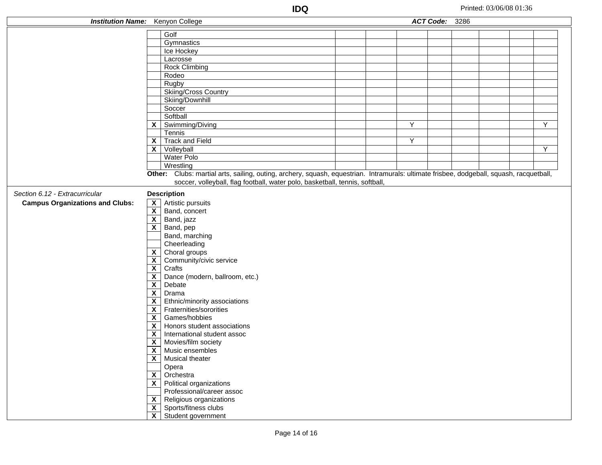| <b>Institution Name:</b> Kenyon College |                           |                                                                                                                                          |   | ACT Code: 3286 |  |                |
|-----------------------------------------|---------------------------|------------------------------------------------------------------------------------------------------------------------------------------|---|----------------|--|----------------|
|                                         |                           | Golf                                                                                                                                     |   |                |  |                |
|                                         |                           | Gymnastics                                                                                                                               |   |                |  |                |
|                                         |                           | Ice Hockey                                                                                                                               |   |                |  |                |
|                                         |                           | Lacrosse                                                                                                                                 |   |                |  |                |
|                                         |                           | <b>Rock Climbing</b>                                                                                                                     |   |                |  |                |
|                                         |                           | Rodeo                                                                                                                                    |   |                |  |                |
|                                         |                           | Rugby                                                                                                                                    |   |                |  |                |
|                                         |                           | Skiing/Cross Country                                                                                                                     |   |                |  |                |
|                                         |                           | Skiing/Downhill                                                                                                                          |   |                |  |                |
|                                         |                           | Soccer                                                                                                                                   |   |                |  |                |
|                                         |                           | Softball                                                                                                                                 |   |                |  |                |
|                                         |                           | $X$ Swimming/Diving                                                                                                                      | Υ |                |  | Υ              |
|                                         |                           | Tennis                                                                                                                                   |   |                |  |                |
|                                         |                           | $X$ Track and Field                                                                                                                      | Y |                |  |                |
|                                         | $\mathsf{x}$              | Volleyball                                                                                                                               |   |                |  | $\overline{Y}$ |
|                                         |                           | Water Polo                                                                                                                               |   |                |  |                |
|                                         |                           | Wrestling                                                                                                                                |   |                |  |                |
|                                         |                           | Other: Clubs: martial arts, sailing, outing, archery, squash, equestrian. Intramurals: ultimate frisbee, dodgeball, squash, racquetball, |   |                |  |                |
|                                         |                           | soccer, volleyball, flag football, water polo, basketball, tennis, softball,                                                             |   |                |  |                |
| Section 6.12 - Extracurricular          |                           | <b>Description</b>                                                                                                                       |   |                |  |                |
| <b>Campus Organizations and Clubs:</b>  |                           | $\overline{\mathsf{x}}$ Artistic pursuits                                                                                                |   |                |  |                |
|                                         | $\overline{\mathbf{x}}$   | Band, concert                                                                                                                            |   |                |  |                |
|                                         |                           | $\overline{\mathbf{X}}$ Band, jazz                                                                                                       |   |                |  |                |
|                                         |                           | $\overline{\mathsf{x}}$ Band, pep                                                                                                        |   |                |  |                |
|                                         |                           | Band, marching                                                                                                                           |   |                |  |                |
|                                         |                           | Cheerleading                                                                                                                             |   |                |  |                |
|                                         |                           | $\mathsf{X}$   Choral groups                                                                                                             |   |                |  |                |
|                                         | $\overline{\mathbf{x}}$   | Community/civic service                                                                                                                  |   |                |  |                |
|                                         | $\mathbf{x}$              | Crafts                                                                                                                                   |   |                |  |                |
|                                         | $\mathsf{x}$              | Dance (modern, ballroom, etc.)                                                                                                           |   |                |  |                |
|                                         | $\overline{\mathbf{X}}$   | Debate                                                                                                                                   |   |                |  |                |
|                                         | $\overline{\mathbf{X}}$   | Drama                                                                                                                                    |   |                |  |                |
|                                         |                           | $\mathsf{X}$   Ethnic/minority associations                                                                                              |   |                |  |                |
|                                         | $\mathsf{x}$              | Fraternities/sororities                                                                                                                  |   |                |  |                |
|                                         | $\overline{\mathbf{x}}$   | Games/hobbies                                                                                                                            |   |                |  |                |
|                                         |                           | $X$   Honors student associations                                                                                                        |   |                |  |                |
|                                         | $\boldsymbol{\mathsf{X}}$ | International student assoc                                                                                                              |   |                |  |                |
|                                         | $\mathsf{x}$              | Movies/film society                                                                                                                      |   |                |  |                |
|                                         | $\mathbf{x}$              | Music ensembles                                                                                                                          |   |                |  |                |
|                                         |                           | $\overline{\mathsf{x}}$ Musical theater                                                                                                  |   |                |  |                |
|                                         |                           | Opera                                                                                                                                    |   |                |  |                |
|                                         | $\mathsf{x}$              | Orchestra                                                                                                                                |   |                |  |                |
|                                         |                           | $\mathsf{X}$ Political organizations                                                                                                     |   |                |  |                |
|                                         |                           | Professional/career assoc                                                                                                                |   |                |  |                |
|                                         | $\mathsf{x}$              | Religious organizations                                                                                                                  |   |                |  |                |
|                                         |                           | $\mathsf{X}$ Sports/fitness clubs                                                                                                        |   |                |  |                |
|                                         | $\overline{\mathsf{x}}$   | Student government                                                                                                                       |   |                |  |                |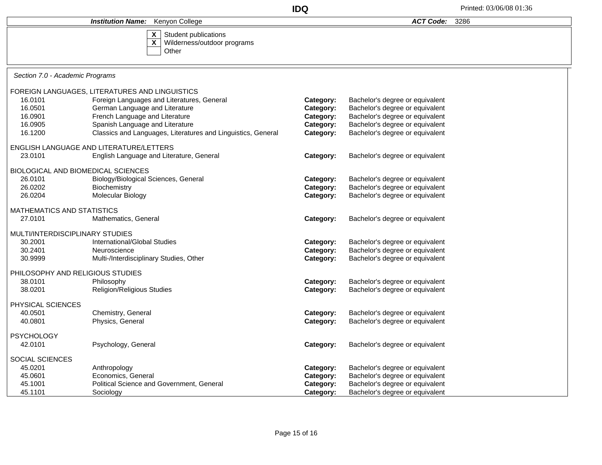|                                           |                                                                        | Printed: 03/06/08 01:36 |                                 |      |  |
|-------------------------------------------|------------------------------------------------------------------------|-------------------------|---------------------------------|------|--|
|                                           | Kenyon College<br><b>Institution Name:</b>                             |                         | <b>ACT Code:</b>                | 3286 |  |
|                                           | X<br>Student publications<br>X<br>Wilderness/outdoor programs<br>Other |                         |                                 |      |  |
| Section 7.0 - Academic Programs           |                                                                        |                         |                                 |      |  |
|                                           | FOREIGN LANGUAGES, LITERATURES AND LINGUISTICS                         |                         |                                 |      |  |
| 16.0101                                   | Foreign Languages and Literatures, General                             | Category:               | Bachelor's degree or equivalent |      |  |
| 16.0501                                   | German Language and Literature                                         | Category:               | Bachelor's degree or equivalent |      |  |
| 16.0901                                   | French Language and Literature                                         | Category:               | Bachelor's degree or equivalent |      |  |
| 16.0905                                   | Spanish Language and Literature                                        | Category:               | Bachelor's degree or equivalent |      |  |
| 16.1200                                   | Classics and Languages, Literatures and Linguistics, General           | Category:               | Bachelor's degree or equivalent |      |  |
|                                           | ENGLISH LANGUAGE AND LITERATURE/LETTERS                                |                         |                                 |      |  |
| 23.0101                                   | English Language and Literature, General                               | Category:               | Bachelor's degree or equivalent |      |  |
| <b>BIOLOGICAL AND BIOMEDICAL SCIENCES</b> |                                                                        |                         |                                 |      |  |
| 26.0101                                   | Biology/Biological Sciences, General                                   | Category:               | Bachelor's degree or equivalent |      |  |
| 26.0202                                   | Biochemistry                                                           | Category:               | Bachelor's degree or equivalent |      |  |
| 26.0204                                   | Molecular Biology                                                      | Category:               | Bachelor's degree or equivalent |      |  |
| <b>MATHEMATICS AND STATISTICS</b>         |                                                                        |                         |                                 |      |  |
| 27.0101                                   | Mathematics, General                                                   | Category:               | Bachelor's degree or equivalent |      |  |
| MULTI/INTERDISCIPLINARY STUDIES           |                                                                        |                         |                                 |      |  |
| 30.2001                                   | International/Global Studies                                           | Category:               | Bachelor's degree or equivalent |      |  |
| 30.2401                                   | Neuroscience                                                           | Category:               | Bachelor's degree or equivalent |      |  |
| 30.9999                                   | Multi-/Interdisciplinary Studies, Other                                | Category:               | Bachelor's degree or equivalent |      |  |
| PHILOSOPHY AND RELIGIOUS STUDIES          |                                                                        |                         |                                 |      |  |
| 38.0101                                   | Philosophy                                                             | Category:               | Bachelor's degree or equivalent |      |  |
| 38.0201                                   | <b>Religion/Religious Studies</b>                                      | Category:               | Bachelor's degree or equivalent |      |  |
| PHYSICAL SCIENCES                         |                                                                        |                         |                                 |      |  |
| 40.0501                                   | Chemistry, General                                                     | Category:               | Bachelor's degree or equivalent |      |  |
| 40.0801                                   | Physics, General                                                       | Category:               | Bachelor's degree or equivalent |      |  |
|                                           |                                                                        |                         |                                 |      |  |
| <b>PSYCHOLOGY</b><br>42.0101              | Psychology, General                                                    | Category:               | Bachelor's degree or equivalent |      |  |
|                                           |                                                                        |                         |                                 |      |  |
| SOCIAL SCIENCES                           |                                                                        |                         |                                 |      |  |
| 45.0201                                   | Anthropology                                                           | Category:               | Bachelor's degree or equivalent |      |  |
| 45.0601                                   | Economics, General                                                     | Category:               | Bachelor's degree or equivalent |      |  |
| 45.1001                                   | Political Science and Government, General                              | Category:               | Bachelor's degree or equivalent |      |  |
| 45.1101                                   | Sociology                                                              | Category:               | Bachelor's degree or equivalent |      |  |